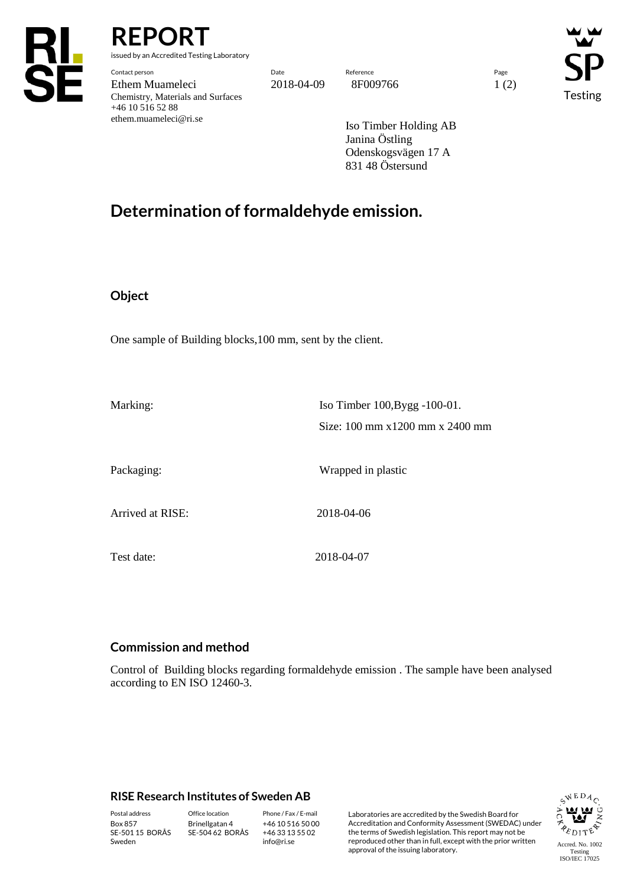

**REPO** 

issued by an Accredited Testing Laboratory

Contact person Date Reference Page Ethem Muameleci 2018-04-09 8F009766 1 (2) Chemistry, Materials and Surfaces +46 10 516 52 88 ethem.muameleci@ri.se

Testing

Iso Timber Holding AB Janina Östling Odenskogsvägen 17 A 831 48 Östersund

## **Determination of formaldehyde emission.**

## **Object**

One sample of Building blocks,100 mm, sent by the client.

Marking: Iso Timber 100, Bygg -100-01. Size: 100 mm x1200 mm x 2400 mm Packaging: Wrapped in plastic Arrived at RISE: 2018-04-06 Test date: 2018-04-07

## **Commission and method**

Control of Building blocks regarding formaldehyde emission . The sample have been analysed according to EN ISO 12460-3.

## **RISE Research Institutes of Sweden AB**

Box 857 SE-501 15 BORÅS Sweden

Brinellgatan 4 SE-504 62 BORÅS

+46 10 516 50 00 +46 33 13 55 02 info@ri.se

Postal address Office location Phone / Fax / E-mail Laboratories are accredited by the Swedish Board for Accreditation and Conformity Assessment (SWEDAC) under the terms of Swedish legislation. This report may not be reproduced other than in full, except with the prior written approval of the issuing laboratory.